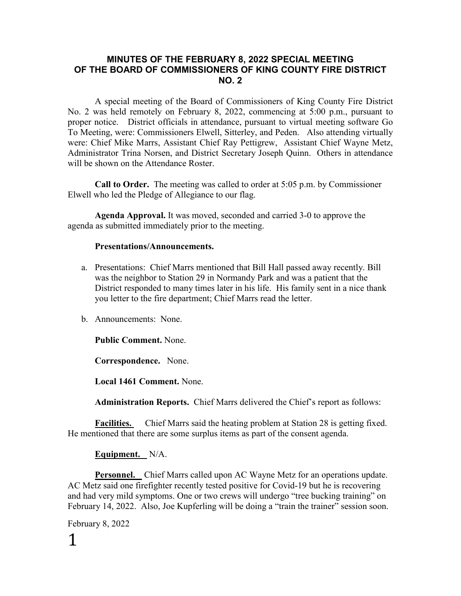#### **MINUTES OF THE FEBRUARY 8, 2022 SPECIAL MEETING OF THE BOARD OF COMMISSIONERS OF KING COUNTY FIRE DISTRICT NO. 2**

A special meeting of the Board of Commissioners of King County Fire District No. 2 was held remotely on February 8, 2022, commencing at 5:00 p.m., pursuant to proper notice. District officials in attendance, pursuant to virtual meeting software Go To Meeting, were: Commissioners Elwell, Sitterley, and Peden. Also attending virtually were: Chief Mike Marrs, Assistant Chief Ray Pettigrew, Assistant Chief Wayne Metz, Administrator Trina Norsen, and District Secretary Joseph Quinn. Others in attendance will be shown on the Attendance Roster.

**Call to Order.** The meeting was called to order at 5:05 p.m. by Commissioner Elwell who led the Pledge of Allegiance to our flag.

**Agenda Approval.** It was moved, seconded and carried 3-0 to approve the agenda as submitted immediately prior to the meeting.

#### **Presentations/Announcements.**

- a. Presentations: Chief Marrs mentioned that Bill Hall passed away recently. Bill was the neighbor to Station 29 in Normandy Park and was a patient that the District responded to many times later in his life. His family sent in a nice thank you letter to the fire department; Chief Marrs read the letter.
- b. Announcements: None.

**Public Comment.** None.

**Correspondence.** None.

**Local 1461 Comment.** None.

**Administration Reports.** Chief Marrs delivered the Chief's report as follows:

**Facilities.** Chief Marrs said the heating problem at Station 28 is getting fixed. He mentioned that there are some surplus items as part of the consent agenda.

#### **Equipment.** N/A.

**Personnel.** Chief Marrs called upon AC Wayne Metz for an operations update. AC Metz said one firefighter recently tested positive for Covid-19 but he is recovering and had very mild symptoms. One or two crews will undergo "tree bucking training" on February 14, 2022. Also, Joe Kupferling will be doing a "train the trainer" session soon.

February 8, 2022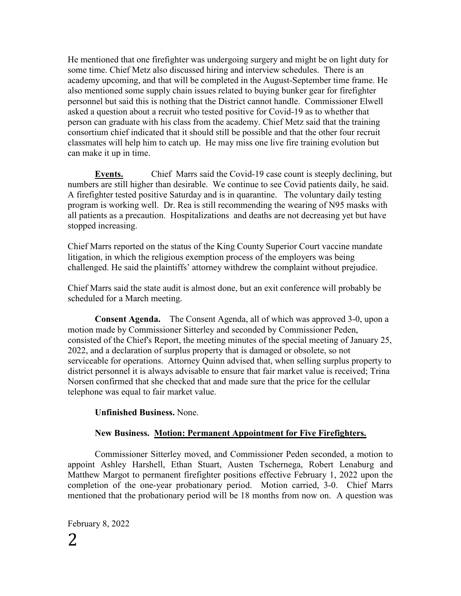He mentioned that one firefighter was undergoing surgery and might be on light duty for some time. Chief Metz also discussed hiring and interview schedules. There is an academy upcoming, and that will be completed in the August-September time frame. He also mentioned some supply chain issues related to buying bunker gear for firefighter personnel but said this is nothing that the District cannot handle. Commissioner Elwell asked a question about a recruit who tested positive for Covid-19 as to whether that person can graduate with his class from the academy. Chief Metz said that the training consortium chief indicated that it should still be possible and that the other four recruit classmates will help him to catch up. He may miss one live fire training evolution but can make it up in time.

**Events.** Chief Marrs said the Covid-19 case count is steeply declining, but numbers are still higher than desirable. We continue to see Covid patients daily, he said. A firefighter tested positive Saturday and is in quarantine. The voluntary daily testing program is working well. Dr. Rea is still recommending the wearing of N95 masks with all patients as a precaution. Hospitalizations and deaths are not decreasing yet but have stopped increasing.

Chief Marrs reported on the status of the King County Superior Court vaccine mandate litigation, in which the religious exemption process of the employers was being challenged. He said the plaintiffs' attorney withdrew the complaint without prejudice.

Chief Marrs said the state audit is almost done, but an exit conference will probably be scheduled for a March meeting.

**Consent Agenda.** The Consent Agenda, all of which was approved 3-0, upon a motion made by Commissioner Sitterley and seconded by Commissioner Peden, consisted of the Chief's Report, the meeting minutes of the special meeting of January 25, 2022, and a declaration of surplus property that is damaged or obsolete, so not serviceable for operations. Attorney Quinn advised that, when selling surplus property to district personnel it is always advisable to ensure that fair market value is received; Trina Norsen confirmed that she checked that and made sure that the price for the cellular telephone was equal to fair market value.

## **Unfinished Business.** None.

## **New Business. Motion: Permanent Appointment for Five Firefighters.**

Commissioner Sitterley moved, and Commissioner Peden seconded, a motion to appoint Ashley Harshell, Ethan Stuart, Austen Tschernega, Robert Lenaburg and Matthew Margot to permanent firefighter positions effective February 1, 2022 upon the completion of the one-year probationary period. Motion carried, 3-0. Chief Marrs mentioned that the probationary period will be 18 months from now on. A question was

February 8, 2022 2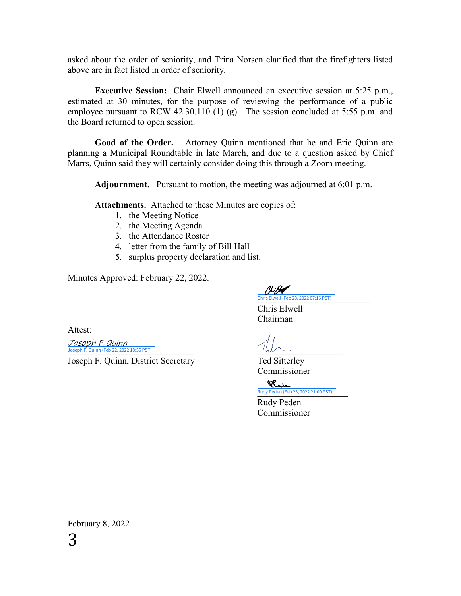asked about the order of seniority, and Trina Norsen clarified that the firefighters listed above are in fact listed in order of seniority.

**Executive Session:** Chair Elwell announced an executive session at 5:25 p.m., estimated at 30 minutes, for the purpose of reviewing the performance of a public employee pursuant to RCW 42.30.110 (1) (g). The session concluded at 5:55 p.m. and the Board returned to open session.

**Good of the Order.** Attorney Quinn mentioned that he and Eric Quinn are planning a Municipal Roundtable in late March, and due to a question asked by Chief Marrs, Quinn said they will certainly consider doing this through a Zoom meeting.

**Adjournment.** Pursuant to motion, the meeting was adjourned at 6:01 p.m.

**Attachments.** Attached to these Minutes are copies of:

- 1. the Meeting Notice
- 2. the Meeting Agenda
- 3. the Attendance Roster
- 4. letter from the family of Bill Hall
- 5. surplus property declaration and list.

Minutes Approved: February 22, 2022.

!}//**//** [\\_\\_\\_\\_\\_\\_\\_\\_\\_\\_\\_\\_\\_\\_\\_\\_\\_\\_\\_\\_\\_\\_\\_\\_\\_](https://na4.documents.adobe.com/verifier?tx=CBJCHBCAABAACVTiTOE1a1a-O-65A6vQt7Ljdr96DRJ4) Chris Elwell (Feb 23, 2022 07:16 PST)

Chris Elwell Chairman

Joseph F. Quinn (Feb 22, 2022 18:56 PST)

Joseph F. Quinn, District Secretary Ted Sitterley Commissioner

> Reve Rudy Peden (Feb 23, 2022 21:00 PST)

Rudy Peden Commissioner

February 8, 2022 3

Attest:

Joseph F. Quinn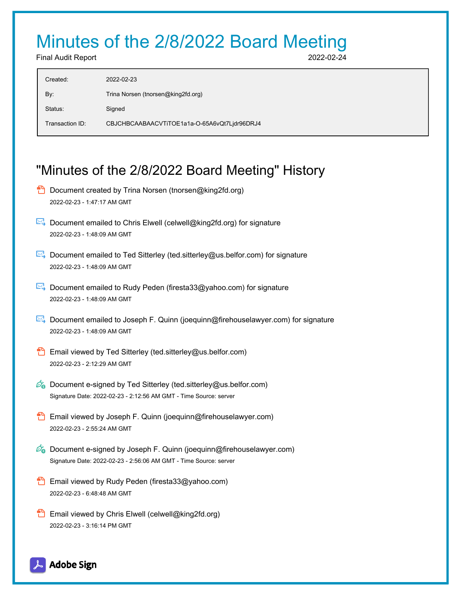# Minutes of the 2/8/2022 Board Meeting

Final Audit Report 2022-02-24

| Created:        | 2022-02-23                                   |
|-----------------|----------------------------------------------|
| By:             | Trina Norsen (tnorsen@king2fd.org)           |
| Status:         | Signed                                       |
| Transaction ID: | CBJCHBCAABAACVTiTOE1a1a-O-65A6vQt7Ljdr96DRJ4 |
|                 |                                              |

# "Minutes of the 2/8/2022 Board Meeting" History

- **D** Document created by Trina Norsen (tnorsen@king2fd.org) 2022-02-23 - 1:47:17 AM GMT
- Document emailed to Chris Elwell (celwell@king2fd.org) for signature 2022-02-23 - 1:48:09 AM GMT
- Document emailed to Ted Sitterley (ted.sitterley@us.belfor.com) for signature 2022-02-23 - 1:48:09 AM GMT
- Document emailed to Rudy Peden (firesta33@yahoo.com) for signature 2022-02-23 - 1:48:09 AM GMT
- Document emailed to Joseph F. Quinn (joequinn@firehouselawyer.com) for signature 2022-02-23 - 1:48:09 AM GMT
- **Email viewed by Ted Sitterley (ted.sitterley@us.belfor.com)** 2022-02-23 - 2:12:29 AM GMT
- $\mathscr{O}_\bullet$  Document e-signed by Ted Sitterley (ted.sitterley@us.belfor.com) Signature Date: 2022-02-23 - 2:12:56 AM GMT - Time Source: server
- **Email viewed by Joseph F. Quinn (joequinn@firehouselawyer.com)** 2022-02-23 - 2:55:24 AM GMT
- $\mathscr{O}_\bullet$  Document e-signed by Joseph F. Quinn (joequinn@firehouselawyer.com) Signature Date: 2022-02-23 - 2:56:06 AM GMT - Time Source: server
- **Email viewed by Rudy Peden (firesta33@yahoo.com)** 2022-02-23 - 6:48:48 AM GMT
- **Email viewed by Chris Elwell (celwell@king2fd.org)** 2022-02-23 - 3:16:14 PM GMT